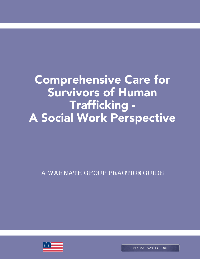Comprehensive Care for Survivors of Human Trafficking - A Social Work Perspective

A WARNATH GROUP PRACTICE GUIDE

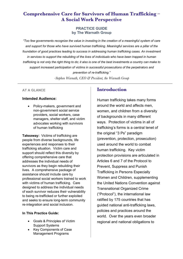# **Comprehensive Care for Survivors of Human Trafficking – A Social Work Perspective**

#### **PRACTICE GUIDE by The Warnath Group**

*"Too few governments recognize the value in investing in the creation of a meaningful system of care and support for those who have survived human trafficking. Meaningful services are a pillar of the foundation of good practices leading to success in addressing human trafficking cases. An investment in services to support the rebuilding of the lives of individuals who have been trapped in human trafficking is not only the right thing to do; it also is one of the best investments a country can make to support increased participation of victims in successful prosecutions of the perpetrators and prevention of re-trafficking."*

*-Stephen Warnath, CEO & President, the Warnath Group*

#### **AT A GLANCE**

#### **Intended Audience:**

• Policy-makers, government and non-government social service providers, social workers, case managers, shelter staff, and victim advocates working with survivors of human trafficking

**Takeaway:** Victims of trafficking are people from diverse backgrounds, life experiences and responses to their trafficking situation. Victim care and support should reflect this diversity by offering comprehensive care that addresses the individual needs of survivors as they begin rebuilding their lives. A comprehensive package of assistance should include care by professional social workers trained to work with victims of human trafficking. Care designed to address the individual needs of each survivor reduces their vulnerability to being re-trafficked or further exploited and seeks to ensure long-term community re-integration and social inclusion.

#### **In This Practice Guide:**

- Goals & Principles of Victim Support Systems
- Key Components of Case Management Programs

## **Introduction**

Human trafficking takes many forms around the world and affects men, women, and children from a diversity of backgrounds in many different ways. Protection of victims in all of trafficking's forms is a central tenet of the original "3 Ps" paradigm (prevention, protection, prosecution) used around the world to combat human trafficking. Key victim protection provisions are articulated in Articles 6 and 7 of the Protocol to Prevent, Suppress and Punish Trafficking in Persons Especially Women and Children, supplementing the United Nations Convention against Transnational Organized Crime ("Protocol"), the international law ratified by 175 countries that has guided national anti-trafficking laws, policies and practices around the world. Over the years even broader regional and national obligations to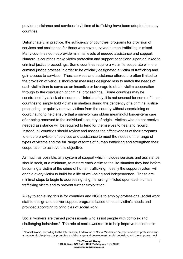provide assistance and services to victims of trafficking have been adopted in many countries.

Unfortunately, in practice, the sufficiency of countries' programs for provision of services and assistance for those who have survived human trafficking is mixed. Many countries do not provide minimal levels of needed assistance and support. Numerous countries make victim protection and support conditional upon or linked to criminal justice proceedings. Some countries require a victim to cooperate with the criminal justice process in order to be officially designated a victim of trafficking and gain access to services. Thus, services and assistance offered are often limited to the provision of various short-term measures designed less to match the needs of each victim than to serve as an incentive or leverage to obtain victim cooperation through to the conclusion of criminal proceedings. Some countries may be constrained by a lack of resources. Unfortunately, it is not unusual for some of these countries to simply hold victims in shelters during the pendency of a criminal justice proceeding, or quickly remove victims from the country without ascertaining or coordinating to help ensure that a survivor can obtain meaningful longer-term care after being removed to the individual's country of origin. Victims who do not receive needed assistance will be required to fend for themselves to heal and rebuild. Instead, all countries should review and assess the effectiveness of their programs to ensure provision of services and assistance to meet the needs of the range of types of victims and the full range of forms of human trafficking and strengthen their cooperation to achieve this objective.

As much as possible, any system of support which includes services and assistance should seek, at a minimum, to restore each victim to the life situation they had before becoming a victim of the crime of human trafficking. Ideally the support system will enable every victim to build for a life of well-being and independence. These are minimal steps to begin to address righting the wrong inflicted upon each human trafficking victim and to prevent further exploitation.

A key to achieving this is for countries and NGOs to employ professional social work staff to design and deliver support programs based on each victim's needs and provided according to principles of social work.

Social workers are trained professionals who assist people with complex and challenging behaviors.1 The role of social workers is to help improve outcomes in

 $\overline{a}$ 

<sup>1</sup> "Social Work", according to the International Federation of Social Workers is "a practice-based profession and an academic discipline that promotes social change and development, social cohesion, and the empowerment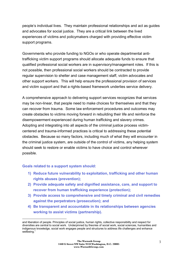people's individual lives. They maintain professional relationships and act as guides and advocates for social justice. They are a critical link between the lived experiences of victims and policymakers charged with providing effective victim support programs.

Governments who provide funding to NGOs or who operate departmental antitrafficking victim support programs should allocate adequate funds to ensure that qualified professional social workers are in supervisory/management roles. If this is not possible, then professional social workers should be contracted to provide regular supervision to shelter and case management staff, victim advocates and other support workers. This will help ensure the professional provision of services and victim support and that a rights-based framework underlies service delivery.

A comprehensive approach to delivering support services recognizes that services may be non-linear, that people need to make choices for themselves and that they can recover from trauma. Some law enforcement procedures and outcomes may create obstacles to victims moving forward in rebuilding their life and reinforce the disempowerment experienced during human trafficking and slavery crimes. Adopting and integrating into all aspects of the criminal justice process victimcentered and trauma-informed practices is critical to addressing these potential obstacles. Because so many factors, including much of what they will encounter in the criminal justice system, are outside of the control of victims, any helping system should seek to restore or enable victims to have choice and control wherever possible.

#### **Goals related to a support system should:**

 $\overline{a}$ 

- **1) Reduce future vulnerability to exploitation, trafficking and other human rights abuses (prevention);**
- **2) Provide adequate safety and dignified assistance, care, and support to recover from human trafficking experience (protection);**
- **3) Provide access to comprehensive and timely criminal and civil remedies against the perpetrators (prosecution); and**
- **4) Be transparent and accountable in its relationships between agencies working to assist victims (partnership).**

and liberation of people. Principles of social justice, human rights, collective responsibility and respect for diversities are central to social work. Underpinned by theories of social work, social sciences, humanities and indigenous knowledge, social work engages people and structures to address life challenges and enhance wellbeing."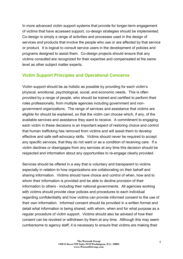In more advanced victim support systems that provide for longer-term engagement of victims that have accessed support, co-design strategies should be implemented. Co-design is simply a range of activities and processes used in the design of services and products that involve the people who use or are affected by that service or product. It is logical to consult service users in the development of policies and programs designed to assist them. Co-design projects should ensure that any victims consulted are recognized for their expertise and compensated at the same level as other subject matter experts.

## **Victim Support Principles and Operational Concerns**

Victim support should be as holistic as possible by providing for each victim's physical, emotional, psychological, social, and economic needs. This is often provided by a range of people, who should be trained and certified to perform their roles professionally, from multiple agencies including government and nongovernment organizations. The range of services and assistance that victims are eligible for should be explained, so that the victim can choose which, if any, of the available services and assistance they want to receive. A commitment to engaging each victim in these decisions is an important aspect of restoring choice and control that human trafficking has removed from victims and will assist them to develop effective and safe self-advocacy skills. Victims should never be required to accept any specific services, that they do not want or as a condition of receiving care. If a victim declines or disengages from any services at any time this decision should be respected and information about any opportunities to re-engage clearly provided.

Services should be offered in a way that is voluntary and transparent to victims especially in relation to how organizations are collaborating on their behalf and sharing information. Victims should have choice and control of when, how and to whom their information is provided and be able to decline provision of their information to others - including their national governments. All agencies working with victims should provide clear policies and procedures to each individual regarding confidentiality and how victims can provide informed consent to the use of their own information. Informed consent should be provided in a written format and detail what information is being shared, with whom, when and for what purpose as a regular procedure of victim support. Victims should also be advised of how their consent can be revoked or withdrawn by them at any time. Although this may seem cumbersome to agency staff, it is necessary to ensure that victims are making their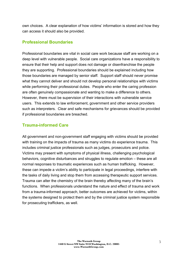own choices. A clear explanation of how victims' information is stored and how they can access it should also be provided.

## **Professional Boundaries**

Professional boundaries are vital in social care work because staff are working on a deep level with vulnerable people. Social care organizations have a responsibility to ensure that their help and support does not damage or disenfranchise the people they are supporting. Professional boundaries should be explained including how those boundaries are managed by senior staff. Support staff should never promise what they cannot deliver and should not develop personal relationships with victims while performing their professional duties. People who enter the caring profession are often genuinely compassionate and wanting to make a difference to others. However, there must be supervision of their interactions with vulnerable service users. This extends to law enforcement, government and other service providers such as interpreters. Clear and safe mechanisms for grievances should be provided if professional boundaries are breached.

## **Trauma-informed Care**

All government and non-government staff engaging with victims should be provided with training on the impacts of trauma as many victims do experience trauma. This includes criminal justice professionals such as judges, prosecutors and police. Victims may present with symptoms of physical illness, challenging psychological behaviors, cognitive disturbances and struggles to regulate emotion – these are all normal responses to traumatic experiences such as human trafficking. However, these can impede a victim's ability to participate in legal proceedings, interfere with the tasks of daily living and stop them from accessing therapeutic support services. Trauma can alter the chemistry of the brain thereby affecting many of the brain's functions. When professionals understand the nature and effect of trauma and work from a trauma-informed approach, better outcomes are achieved for victims, within the systems designed to protect them and by the criminal justice system responsible for prosecuting traffickers, as well.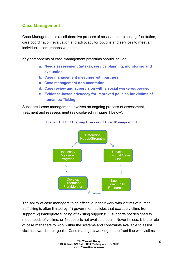## **Case Management**

Case Management is a collaborative process of assessment, planning, facilitation, care coordination, evaluation and advocacy for options and services to meet an individual's comprehensive needs.

Key components of case management programs should include:

- **a. Needs assessment (intake), service planning, monitoring and evaluation**
- **b. Case management meetings with partners**
- **c. Case management documentation**
- **d. Case review and supervision with a social worker/supervisor**
- **e. Evidence-based advocacy for improved policies for victims of human trafficking**

Successful case management involves an ongoing process of assessment, treatment and reassessment (as displayed in Figure 1 below).



#### **Figure 1: The Ongoing Process of Case Management**

The ability of case managers to be effective in their work with victims of human trafficking is often limited by: 1) government policies that exclude victims from support; 2) inadequate funding of existing supports; 3) supports not designed to meet needs of victims; or 4) supports not available at all. Nevertheless, it is the role of case managers to work within the systems and constraints available to assist victims towards their goals. Case managers working on the front line with victims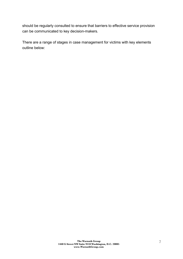should be regularly consulted to ensure that barriers to effective service provision can be communicated to key decision-makers.

There are a range of stages in case management for victims with key elements outline below: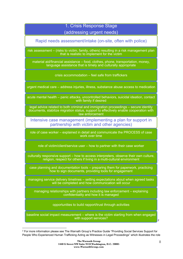# 1. Crisis Response Stage (addressing urgent needs)

Rapid needs assessment/intake (on-site, often with police)

risk assessment – (risks to victim, family, others) resulting in a risk management plan that is realistic to implement for the victim

material aid/financial assistance – food, clothes, phone, transportation, money, language assistance that is timely and culturally appropriate

crisis accommodation – feel safe from traffickers

urgent medical care – address injuries, illness, substance abuse access to medication

acute mental health – panic attacks, uncontrolled behaviors, suicidal ideation, contact with family if desired

legal advice related to both criminal and immigration proceedings – secure identity documents, stabilize migration status, support to effectively enable cooperation with law enforcement

Intensive case management (implementing a plan for support in partnership with victim and other agencies)

role of case worker – explained in detail and communicate the PROCESS of case work over time

role of victim/client/service user – how to partner with their case worker

culturally responsive support – how to access interpreters, observe their own culture, religion, respect for others if living in a multi-cultural environment

case planning and documentation tools – preparing them for paperwork, practicing how to sign documents, providing tools for engagement

managing service delivery timelines – setting expectations about when agreed tasks will be completed and how communication will occur

managing relationships with partners including law enforcement – explaining confidentiality and how it is managed

opportunities to build rapport/trust through activities

baseline social impact measurement – where is the victim starting from when engaged with support services?

 $\overline{a}$ 

 $\overline{2}$ 

<sup>2</sup> For more information please see The Warnath Group's Practice Guide "Providing Social Services Support for People Who Experienced Human Trafficking Acting as Witnesses in Legal Proceedings" which illustrates the role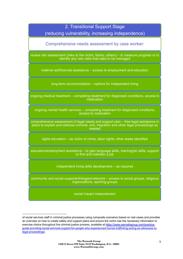| 2. Transitional Support Stage<br>(reducing vulnerability, increasing independence)                                                                                                      |
|-----------------------------------------------------------------------------------------------------------------------------------------------------------------------------------------|
| Comprehensive needs assessment by case worker:                                                                                                                                          |
| review risk assessment (risks to the victim, family, others) – to measure progress or to<br>identify any new risks that need to be managed                                              |
| material aid/financial assistance – access to employment and education                                                                                                                  |
| long-term accommodation – options for independent living                                                                                                                                |
| ongoing medical treatment – completing treatment for diagnosed conditions, access to<br>medication                                                                                      |
| ongoing mental health services – completing treatment for diagnosed conditions,<br>access to medication                                                                                 |
| comprehensive assessment of legal needs and support plan – free legal assistance in<br>place to explain and address criminal, civil, migration and other legal proceedings as<br>needed |
| rights education – as victim of crime, labor rights, other areas identified                                                                                                             |
| education/employment assistance – to gain language skills, training/job skills, support<br>to find and maintain a job                                                                   |
| independent living skills development - as required                                                                                                                                     |
| community and social supports/linkages/networks - access to social groups, religious<br>organizations, sporting groups                                                                  |
| social impact measurement                                                                                                                                                               |

 $\overline{a}$ 

of social services staff in criminal justice processes using composite scenarios based on real cases and provides an overview on how to create safety and support plans and ensure the victim has the necessary information to exercise choice throughout the criminal justice process, available at https://www.warnathgroup.com/practiceguide-providing-social-services-support-for-people-who-experienced-human-trafficking-acting-as-witnesses-inlegal-proceedings/.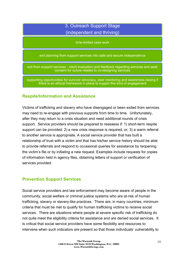# 3. Outreach Support Stage (independent and thriving)

time-limited case work

exit planning from support services into safe and secure independence

exit from support services - client evaluation and feedback regarding services and seek consent for suture related to co-designing services

supporting opportunities for survivor advocacy, peer mentoring and awareness-raising if there is an ethical framework in place to suppor this kind of engagement

## **Respite/Information and Assistance**

Victims of trafficking and slavery who have disengaged or been exited from services may need to re-engage with previous supports from time to time. Unfortunately, after they may return to a crisis situation and need additional rounds of crisis support. Service providers should be prepared to reassess if: 1) short-term respite support can be provided; 2) a new crisis response is required, or; 3) a warm referral to another service is appropriate. A social service provider that has built a relationship of trust with a victim and that has his/her service history should be able to provide referrals and respond to occasional queries for assistance by reopening the victim's file or by initiating a new request. Examples include requests for copies of information held in agency files, obtaining letters of support or verification of services provided.

## **Prevention Support Services**

Social service providers and law enforcement may become aware of people in the community, social welfare or criminal justice systems who are at-risk of human trafficking, slavery or slavery-like practices. There are, in many countries, minimum criteria that must be met to qualify for human trafficking victims to receive social services. There are situations where people at severe specific risk of trafficking do not quite meet the eligibility criteria for assistance and are denied social services. It is critical that social service providers have some flexibility and resources to intervene when such indicators are present so that those individuals' vulnerability to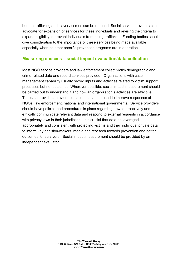human trafficking and slavery crimes can be reduced. Social service providers can advocate for expansion of services for these individuals and revising the criteria to expand eligibility to prevent individuals from being trafficked. Funding bodies should give consideration to the importance of these services being made available especially when no other specific prevention programs are in operation.

#### **Measuring success – social impact evaluation/data collection**

Most NGO service providers and law enforcement collect victim demographic and crime-related data and record services provided. Organizations with case management capability usually record inputs and activities related to victim support processes but not outcomes. Wherever possible, social impact measurement should be carried out to understand if and how an organization's activities are effective. This data provides an evidence base that can be used to improve responses of NGOs, law enforcement, national and international governments. Service providers should have policies and procedures in place regarding how to proactively and ethically communicate relevant data and respond to external requests in accordance with privacy laws in their jurisdiction. It is crucial that data be leveraged appropriately and consistent with protecting victims and their individual private data to inform key decision-makers, media and research towards prevention and better outcomes for survivors. Social impact measurement should be provided by an independent evaluator.